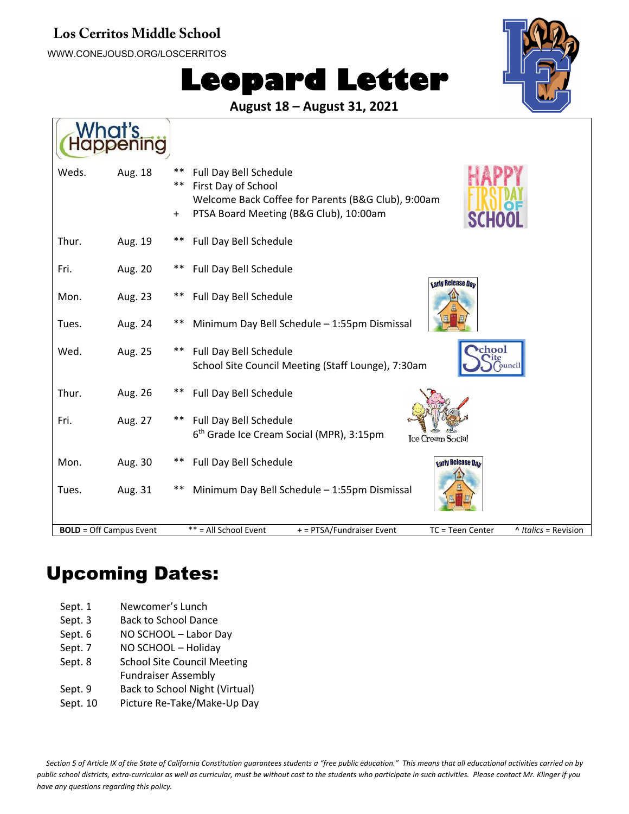#### **Los Cerritos Middle School**

WWW.CONEJOUSD.ORG/LOSCERRITOS

 $\overline{z}$ 

# **Leopard Letter**



**August 18 – August 31, 2021**

| Weds.<br>Aug. 18               | **<br>**  | Full Day Bell Schedule<br>First Day of School<br>Welcome Back Coffee for Parents (B&G Club), 9:00am       |
|--------------------------------|-----------|-----------------------------------------------------------------------------------------------------------|
|                                | $\ddot{}$ | PTSA Board Meeting (B&G Club), 10:00am<br><b>SCHC</b>                                                     |
| Thur.<br>Aug. 19               | $***$     | Full Day Bell Schedule                                                                                    |
| Fri.<br>Aug. 20                | $***$     | Full Day Bell Schedule                                                                                    |
| Mon.<br>Aug. 23                | $***$     | <b>Early Release Day</b><br>Full Day Bell Schedule                                                        |
| Tues.<br>Aug. 24               | **        | Minimum Day Bell Schedule - 1:55pm Dismissal                                                              |
| Wed.<br>Aug. 25                | $***$     | hool<br>Full Day Bell Schedule<br>School Site Council Meeting (Staff Lounge), 7:30am<br>ouncil            |
| Thur.<br>Aug. 26               | $***$     | Full Day Bell Schedule                                                                                    |
| Fri.<br>Aug. 27                | **        | Full Day Bell Schedule<br>6 <sup>th</sup> Grade Ice Cream Social (MPR), 3:15pm<br><b>Ice Cream Social</b> |
| Aug. 30<br>Mon.                | $***$     | Full Day Bell Schedule<br><b>Larly Release Day</b>                                                        |
| Aug. 31<br>Tues.               | **        | Minimum Day Bell Schedule - 1:55pm Dismissal                                                              |
| <b>BOLD</b> = Off Campus Event |           | ** = All School Event<br>+ = PTSA/Fundraiser Event<br>^ Italics = Revision<br>TC = Teen Center            |

## Upcoming Dates:

| Sept. 1 | Newcomer's Lunch |
|---------|------------------|
|---------|------------------|

- Sept. 3 Back to School Dance
- Sept. 6 NO SCHOOL Labor Day
- Sept. 7 NO SCHOOL Holiday
- Sept. 8 School Site Council Meeting
- Fundraiser Assembly
- Sept. 9 Back to School Night (Virtual)
- Sept. 10 Picture Re-Take/Make-Up Day

Section 5 of Article IX of the State of California Constitution guarantees students a "free public education." This means that all educational activities carried on by public school districts, extra-curricular as well as curricular, must be without cost to the students who participate in such activities. Please contact Mr. Klinger if you *have any questions regarding this policy.*